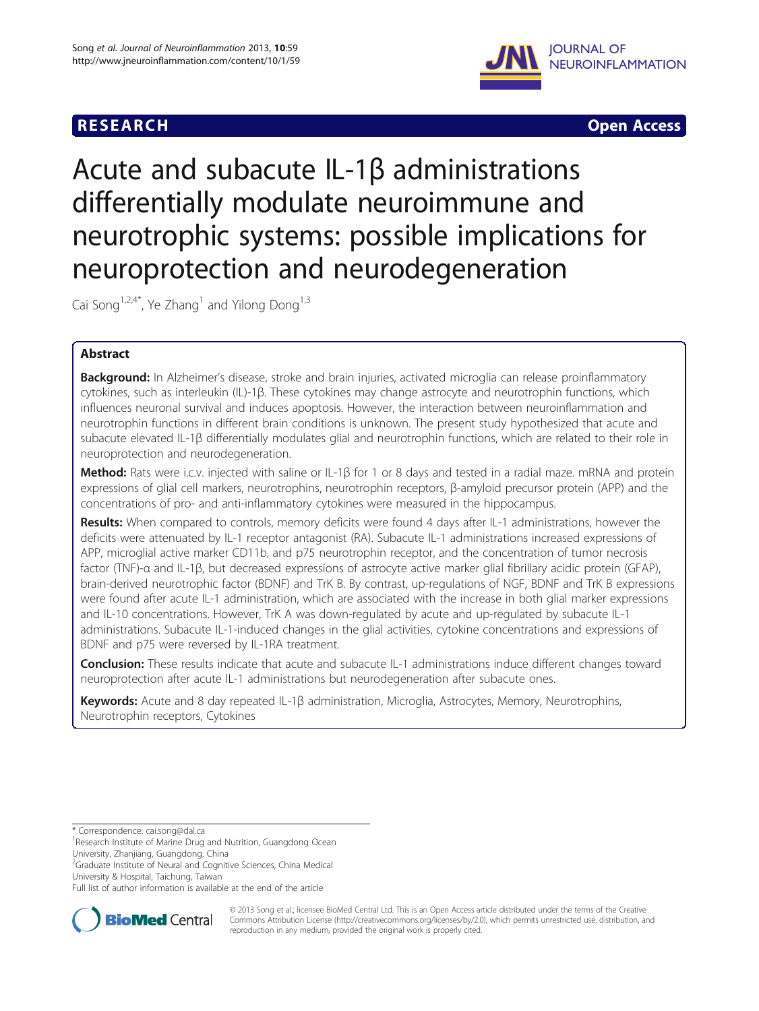



# Acute and subacute IL-1β administrations differentially modulate neuroimmune and neurotrophic systems: possible implications for neuroprotection and neurodegeneration

Cai Song<sup>1,2,4\*</sup>, Ye Zhang<sup>1</sup> and Yilong Dong<sup>1,3</sup>

# Abstract

Background: In Alzheimer's disease, stroke and brain injuries, activated microglia can release proinflammatory cytokines, such as interleukin (IL)-1β. These cytokines may change astrocyte and neurotrophin functions, which influences neuronal survival and induces apoptosis. However, the interaction between neuroinflammation and neurotrophin functions in different brain conditions is unknown. The present study hypothesized that acute and subacute elevated IL-1β differentially modulates glial and neurotrophin functions, which are related to their role in neuroprotection and neurodegeneration.

Method: Rats were i.c.v. injected with saline or IL-1β for 1 or 8 days and tested in a radial maze. mRNA and protein expressions of glial cell markers, neurotrophins, neurotrophin receptors, β-amyloid precursor protein (APP) and the concentrations of pro- and anti-inflammatory cytokines were measured in the hippocampus.

Results: When compared to controls, memory deficits were found 4 days after IL-1 administrations, however the deficits were attenuated by IL-1 receptor antagonist (RA). Subacute IL-1 administrations increased expressions of APP, microglial active marker CD11b, and p75 neurotrophin receptor, and the concentration of tumor necrosis factor (TNF)-α and IL-1β, but decreased expressions of astrocyte active marker glial fibrillary acidic protein (GFAP), brain-derived neurotrophic factor (BDNF) and TrK B. By contrast, up-regulations of NGF, BDNF and TrK B expressions were found after acute IL-1 administration, which are associated with the increase in both glial marker expressions and IL-10 concentrations. However, TrK A was down-regulated by acute and up-regulated by subacute IL-1 administrations. Subacute IL-1-induced changes in the glial activities, cytokine concentrations and expressions of BDNF and p75 were reversed by IL-1RA treatment.

**Conclusion:** These results indicate that acute and subacute IL-1 administrations induce different changes toward neuroprotection after acute IL-1 administrations but neurodegeneration after subacute ones.

Keywords: Acute and 8 day repeated IL-1β administration, Microglia, Astrocytes, Memory, Neurotrophins, Neurotrophin receptors, Cytokines

<sup>2</sup>Graduate Institute of Neural and Cognitive Sciences, China Medical

University & Hospital, Taichung, Taiwan

Full list of author information is available at the end of the article



© 2013 Song et al.; licensee BioMed Central Ltd. This is an Open Access article distributed under the terms of the Creative Commons Attribution License [\(http://creativecommons.org/licenses/by/2.0\)](http://creativecommons.org/licenses/by/2.0), which permits unrestricted use, distribution, and reproduction in any medium, provided the original work is properly cited.

<sup>\*</sup> Correspondence: [cai.song@dal.ca](mailto:cai.song@dal.ca) <sup>1</sup>

<sup>&</sup>lt;sup>1</sup> Research Institute of Marine Drug and Nutrition, Guangdong Ocean University, Zhanjiang, Guangdong, China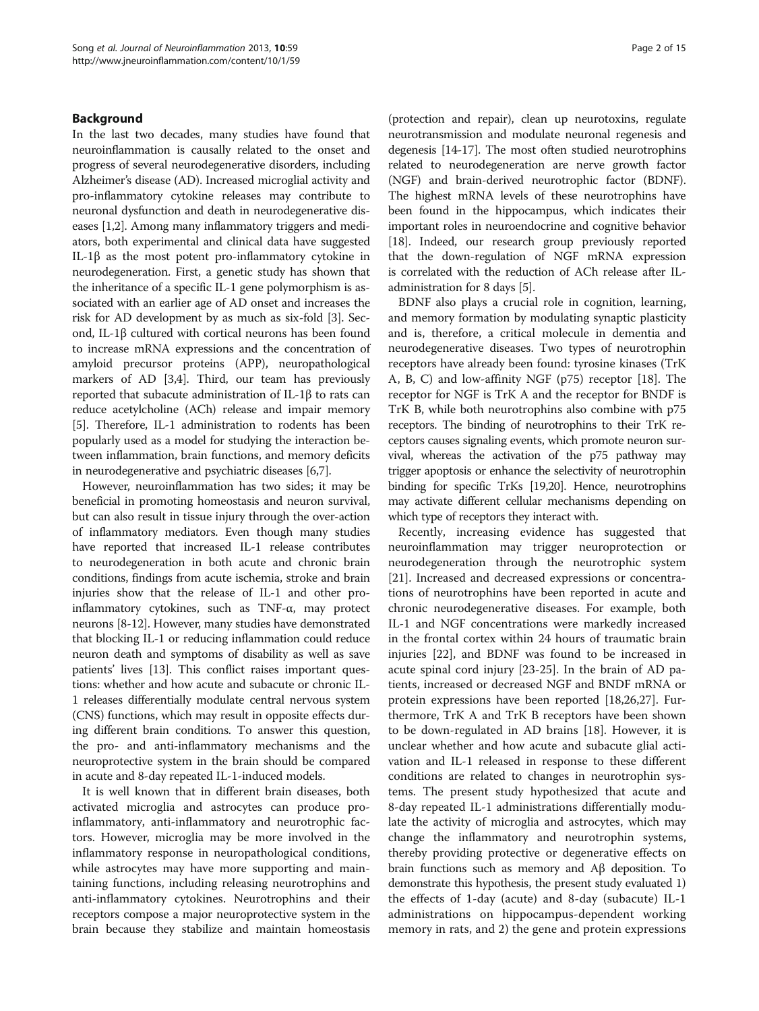#### Background

In the last two decades, many studies have found that neuroinflammation is causally related to the onset and progress of several neurodegenerative disorders, including Alzheimer's disease (AD). Increased microglial activity and pro-inflammatory cytokine releases may contribute to neuronal dysfunction and death in neurodegenerative diseases [\[1,2\]](#page-12-0). Among many inflammatory triggers and mediators, both experimental and clinical data have suggested IL-1β as the most potent pro-inflammatory cytokine in neurodegeneration. First, a genetic study has shown that the inheritance of a specific IL-1 gene polymorphism is associated with an earlier age of AD onset and increases the risk for AD development by as much as six-fold [\[3\]](#page-12-0). Second, IL-1β cultured with cortical neurons has been found to increase mRNA expressions and the concentration of amyloid precursor proteins (APP), neuropathological markers of AD [[3](#page-12-0),[4](#page-12-0)]. Third, our team has previously reported that subacute administration of IL-1β to rats can reduce acetylcholine (ACh) release and impair memory [[5\]](#page-12-0). Therefore, IL-1 administration to rodents has been popularly used as a model for studying the interaction between inflammation, brain functions, and memory deficits in neurodegenerative and psychiatric diseases [\[6,7](#page-12-0)].

However, neuroinflammation has two sides; it may be beneficial in promoting homeostasis and neuron survival, but can also result in tissue injury through the over-action of inflammatory mediators. Even though many studies have reported that increased IL-1 release contributes to neurodegeneration in both acute and chronic brain conditions, findings from acute ischemia, stroke and brain injuries show that the release of IL-1 and other proinflammatory cytokines, such as TNF-α, may protect neurons [[8-12\]](#page-12-0). However, many studies have demonstrated that blocking IL-1 or reducing inflammation could reduce neuron death and symptoms of disability as well as save patients' lives [\[13\]](#page-12-0). This conflict raises important questions: whether and how acute and subacute or chronic IL-1 releases differentially modulate central nervous system (CNS) functions, which may result in opposite effects during different brain conditions. To answer this question, the pro- and anti-inflammatory mechanisms and the neuroprotective system in the brain should be compared in acute and 8-day repeated IL-1-induced models.

It is well known that in different brain diseases, both activated microglia and astrocytes can produce proinflammatory, anti-inflammatory and neurotrophic factors. However, microglia may be more involved in the inflammatory response in neuropathological conditions, while astrocytes may have more supporting and maintaining functions, including releasing neurotrophins and anti-inflammatory cytokines. Neurotrophins and their receptors compose a major neuroprotective system in the brain because they stabilize and maintain homeostasis

(protection and repair), clean up neurotoxins, regulate neurotransmission and modulate neuronal regenesis and degenesis [\[14-17](#page-12-0)]. The most often studied neurotrophins related to neurodegeneration are nerve growth factor (NGF) and brain-derived neurotrophic factor (BDNF). The highest mRNA levels of these neurotrophins have been found in the hippocampus, which indicates their important roles in neuroendocrine and cognitive behavior [[18](#page-13-0)]. Indeed, our research group previously reported that the down-regulation of NGF mRNA expression is correlated with the reduction of ACh release after ILadministration for 8 days [\[5\]](#page-12-0).

BDNF also plays a crucial role in cognition, learning, and memory formation by modulating synaptic plasticity and is, therefore, a critical molecule in dementia and neurodegenerative diseases. Two types of neurotrophin receptors have already been found: tyrosine kinases (TrK A, B, C) and low-affinity NGF (p75) receptor [\[18](#page-13-0)]. The receptor for NGF is TrK A and the receptor for BNDF is TrK B, while both neurotrophins also combine with p75 receptors. The binding of neurotrophins to their TrK receptors causes signaling events, which promote neuron survival, whereas the activation of the p75 pathway may trigger apoptosis or enhance the selectivity of neurotrophin binding for specific TrKs [[19,20\]](#page-13-0). Hence, neurotrophins may activate different cellular mechanisms depending on which type of receptors they interact with.

Recently, increasing evidence has suggested that neuroinflammation may trigger neuroprotection or neurodegeneration through the neurotrophic system [[21\]](#page-13-0). Increased and decreased expressions or concentrations of neurotrophins have been reported in acute and chronic neurodegenerative diseases. For example, both IL-1 and NGF concentrations were markedly increased in the frontal cortex within 24 hours of traumatic brain injuries [[22\]](#page-13-0), and BDNF was found to be increased in acute spinal cord injury [\[23](#page-13-0)-[25](#page-13-0)]. In the brain of AD patients, increased or decreased NGF and BNDF mRNA or protein expressions have been reported [[18,26,27\]](#page-13-0). Furthermore, TrK A and TrK B receptors have been shown to be down-regulated in AD brains [\[18\]](#page-13-0). However, it is unclear whether and how acute and subacute glial activation and IL-1 released in response to these different conditions are related to changes in neurotrophin systems. The present study hypothesized that acute and 8-day repeated IL-1 administrations differentially modulate the activity of microglia and astrocytes, which may change the inflammatory and neurotrophin systems, thereby providing protective or degenerative effects on brain functions such as memory and Aβ deposition. To demonstrate this hypothesis, the present study evaluated 1) the effects of 1-day (acute) and 8-day (subacute) IL-1 administrations on hippocampus-dependent working memory in rats, and 2) the gene and protein expressions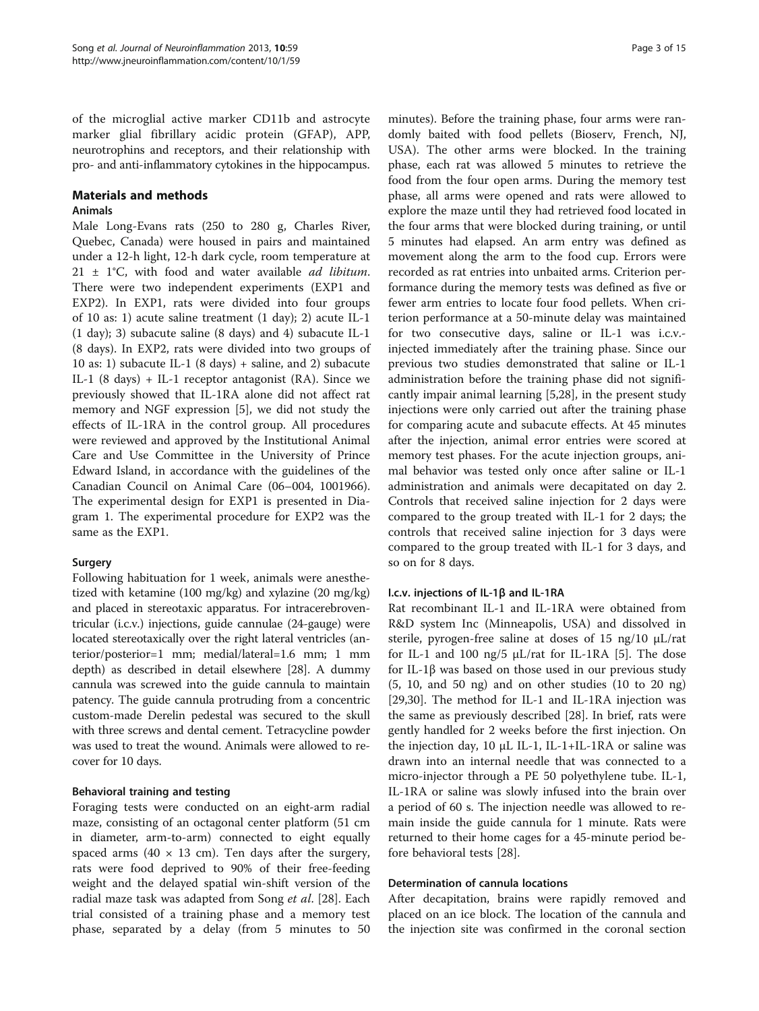of the microglial active marker CD11b and astrocyte marker glial fibrillary acidic protein (GFAP), APP, neurotrophins and receptors, and their relationship with pro- and anti-inflammatory cytokines in the hippocampus.

#### Materials and methods

#### Animals

Male Long-Evans rats (250 to 280 g, Charles River, Quebec, Canada) were housed in pairs and maintained under a 12-h light, 12-h dark cycle, room temperature at  $21 \pm 1^{\circ}$ C, with food and water available *ad libitum*. There were two independent experiments (EXP1 and EXP2). In EXP1, rats were divided into four groups of 10 as: 1) acute saline treatment (1 day); 2) acute IL-1 (1 day); 3) subacute saline (8 days) and 4) subacute IL-1 (8 days). In EXP2, rats were divided into two groups of 10 as: 1) subacute IL-1 (8 days) + saline, and 2) subacute IL-1 (8 days) + IL-1 receptor antagonist (RA). Since we previously showed that IL-1RA alone did not affect rat memory and NGF expression [[5\]](#page-12-0), we did not study the effects of IL-1RA in the control group. All procedures were reviewed and approved by the Institutional Animal Care and Use Committee in the University of Prince Edward Island, in accordance with the guidelines of the Canadian Council on Animal Care (06–004, 1001966). The experimental design for EXP1 is presented in Diagram 1. The experimental procedure for EXP2 was the same as the EXP1.

## Surgery

Following habituation for 1 week, animals were anesthetized with ketamine (100 mg/kg) and xylazine (20 mg/kg) and placed in stereotaxic apparatus. For intracerebroventricular (i.c.v.) injections, guide cannulae (24-gauge) were located stereotaxically over the right lateral ventricles (anterior/posterior=1 mm; medial/lateral=1.6 mm; 1 mm depth) as described in detail elsewhere [[28](#page-13-0)]. A dummy cannula was screwed into the guide cannula to maintain patency. The guide cannula protruding from a concentric custom-made Derelin pedestal was secured to the skull with three screws and dental cement. Tetracycline powder was used to treat the wound. Animals were allowed to recover for 10 days.

## Behavioral training and testing

Foraging tests were conducted on an eight-arm radial maze, consisting of an octagonal center platform (51 cm in diameter, arm-to-arm) connected to eight equally spaced arms (40  $\times$  13 cm). Ten days after the surgery, rats were food deprived to 90% of their free-feeding weight and the delayed spatial win-shift version of the radial maze task was adapted from Song et al. [[28](#page-13-0)]. Each trial consisted of a training phase and a memory test phase, separated by a delay (from 5 minutes to 50

minutes). Before the training phase, four arms were randomly baited with food pellets (Bioserv, French, NJ, USA). The other arms were blocked. In the training phase, each rat was allowed 5 minutes to retrieve the food from the four open arms. During the memory test phase, all arms were opened and rats were allowed to explore the maze until they had retrieved food located in the four arms that were blocked during training, or until 5 minutes had elapsed. An arm entry was defined as movement along the arm to the food cup. Errors were recorded as rat entries into unbaited arms. Criterion performance during the memory tests was defined as five or fewer arm entries to locate four food pellets. When criterion performance at a 50-minute delay was maintained for two consecutive days, saline or IL-1 was i.c.v. injected immediately after the training phase. Since our previous two studies demonstrated that saline or IL-1 administration before the training phase did not significantly impair animal learning [\[5](#page-12-0),[28](#page-13-0)], in the present study injections were only carried out after the training phase for comparing acute and subacute effects. At 45 minutes after the injection, animal error entries were scored at memory test phases. For the acute injection groups, animal behavior was tested only once after saline or IL-1 administration and animals were decapitated on day 2. Controls that received saline injection for 2 days were compared to the group treated with IL-1 for 2 days; the controls that received saline injection for 3 days were compared to the group treated with IL-1 for 3 days, and so on for 8 days.

#### I.c.v. injections of IL-1β and IL-1RA

Rat recombinant IL-1 and IL-1RA were obtained from R&D system Inc (Minneapolis, USA) and dissolved in sterile, pyrogen-free saline at doses of 15 ng/10 μL/rat for IL-1 and 100 ng/5  $\mu$ L/rat for IL-1RA [[5\]](#page-12-0). The dose for IL-1β was based on those used in our previous study (5, 10, and 50 ng) and on other studies (10 to 20 ng) [[29,30\]](#page-13-0). The method for IL-1 and IL-1RA injection was the same as previously described [[28](#page-13-0)]. In brief, rats were gently handled for 2 weeks before the first injection. On the injection day, 10 μL IL-1, IL-1+IL-1RA or saline was drawn into an internal needle that was connected to a micro-injector through a PE 50 polyethylene tube. IL-1, IL-1RA or saline was slowly infused into the brain over a period of 60 s. The injection needle was allowed to remain inside the guide cannula for 1 minute. Rats were returned to their home cages for a 45-minute period before behavioral tests [\[28\]](#page-13-0).

#### Determination of cannula locations

After decapitation, brains were rapidly removed and placed on an ice block. The location of the cannula and the injection site was confirmed in the coronal section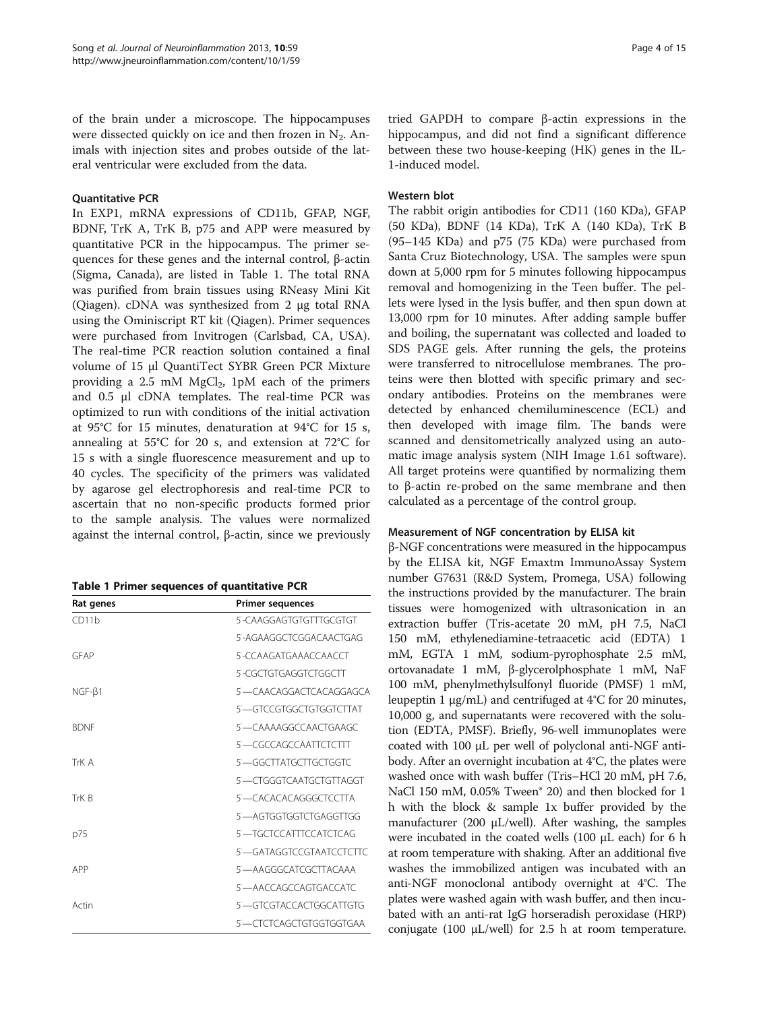of the brain under a microscope. The hippocampuses were dissected quickly on ice and then frozen in  $N_2$ . Animals with injection sites and probes outside of the lateral ventricular were excluded from the data.

#### Quantitative PCR

In EXP1, mRNA expressions of CD11b, GFAP, NGF, BDNF, TrK A, TrK B, p75 and APP were measured by quantitative PCR in the hippocampus. The primer sequences for these genes and the internal control, β-actin (Sigma, Canada), are listed in Table 1. The total RNA was purified from brain tissues using RNeasy Mini Kit (Qiagen). cDNA was synthesized from 2 μg total RNA using the Ominiscript RT kit (Qiagen). Primer sequences were purchased from Invitrogen (Carlsbad, CA, USA). The real-time PCR reaction solution contained a final volume of 15 μl QuantiTect SYBR Green PCR Mixture providing a 2.5 mM  $MgCl<sub>2</sub>$ , 1pM each of the primers and 0.5 μl cDNA templates. The real-time PCR was optimized to run with conditions of the initial activation at 95°C for 15 minutes, denaturation at 94°C for 15 s, annealing at 55°C for 20 s, and extension at 72°C for 15 s with a single fluorescence measurement and up to 40 cycles. The specificity of the primers was validated by agarose gel electrophoresis and real-time PCR to ascertain that no non-specific products formed prior to the sample analysis. The values were normalized against the internal control, β-actin, since we previously

|  |  |  |  | Table 1 Primer sequences of quantitative PCR |  |
|--|--|--|--|----------------------------------------------|--|
|--|--|--|--|----------------------------------------------|--|

| Rat genes    | <b>Primer sequences</b> |  |  |  |
|--------------|-------------------------|--|--|--|
| CD11b        | 5-CAAGGAGTGTGTTTGCGTGT  |  |  |  |
|              | 5-AGAAGGCTCGGACAACTGAG  |  |  |  |
| GEAP         | 5-CCAAGATGAAACCAACCT    |  |  |  |
|              | 5-CGCTGTGAGGTCTGGCTT    |  |  |  |
| $NGF-\beta1$ | 5-CAACAGGACTCACAGGAGCA  |  |  |  |
|              | 5-GICCGIGGCIGIGGICTIAT  |  |  |  |
| <b>BDNF</b>  | 5-CAAAAGGCCAACTGAAGC    |  |  |  |
|              | 5-CGCCAGCCAATTCTCTTT    |  |  |  |
| TrK A        | 5-GGCTTATGCTTGCTGGTC    |  |  |  |
|              | 5-CTGGGTCAATGCTGTTAGGT  |  |  |  |
| TrK R        | 5-CACACACAGGGCTCCTTA    |  |  |  |
|              | 5-AGTGGTGGTCTGAGGTTGG   |  |  |  |
| p75          | 5-TGCTCCATTTCCATCTCAG   |  |  |  |
|              | 5-GATAGGTCCGTAATCCTCTC  |  |  |  |
| APP          | 5-AAGGGCATCGCTTACAAA    |  |  |  |
|              | 5-AACCAGCCAGTGACCATC    |  |  |  |
| Actin        | 5-GICGTACCACTGGCATTGIG  |  |  |  |
|              | 5—CTCTCAGCTGTGGTGGTGAA  |  |  |  |

tried GAPDH to compare β-actin expressions in the hippocampus, and did not find a significant difference between these two house-keeping (HK) genes in the IL-1-induced model.

#### Western blot

The rabbit origin antibodies for CD11 (160 KDa), GFAP (50 KDa), BDNF (14 KDa), TrK A (140 KDa), TrK B (95–145 KDa) and p75 (75 KDa) were purchased from Santa Cruz Biotechnology, USA. The samples were spun down at 5,000 rpm for 5 minutes following hippocampus removal and homogenizing in the Teen buffer. The pellets were lysed in the lysis buffer, and then spun down at 13,000 rpm for 10 minutes. After adding sample buffer and boiling, the supernatant was collected and loaded to SDS PAGE gels. After running the gels, the proteins were transferred to nitrocellulose membranes. The proteins were then blotted with specific primary and secondary antibodies. Proteins on the membranes were detected by enhanced chemiluminescence (ECL) and then developed with image film. The bands were scanned and densitometrically analyzed using an automatic image analysis system (NIH Image 1.61 software). All target proteins were quantified by normalizing them to β-actin re-probed on the same membrane and then calculated as a percentage of the control group.

## Measurement of NGF concentration by ELISA kit

β-NGF concentrations were measured in the hippocampus by the ELISA kit, NGF Emaxtm ImmunoAssay System number G7631 (R&D System, Promega, USA) following the instructions provided by the manufacturer. The brain tissues were homogenized with ultrasonication in an extraction buffer (Tris-acetate 20 mM, pH 7.5, NaCl 150 mM, ethylenediamine-tetraacetic acid (EDTA) 1 mM, EGTA 1 mM, sodium-pyrophosphate 2.5 mM, ortovanadate 1 mM, β-glycerolphosphate 1 mM, NaF 100 mM, phenylmethylsulfonyl fluoride (PMSF) 1 mM, leupeptin 1 μg/mL) and centrifuged at 4°C for 20 minutes, 10,000 g, and supernatants were recovered with the solution (EDTA, PMSF). Briefly, 96-well immunoplates were coated with 100 μL per well of polyclonal anti-NGF antibody. After an overnight incubation at 4°C, the plates were washed once with wash buffer (Tris–HCl 20 mM, pH 7.6, NaCl 150 mM, 0.05% Tween<sup>®</sup> 20) and then blocked for 1 h with the block & sample 1x buffer provided by the manufacturer (200 μL/well). After washing, the samples were incubated in the coated wells (100 μL each) for 6 h at room temperature with shaking. After an additional five washes the immobilized antigen was incubated with an anti-NGF monoclonal antibody overnight at 4°C. The plates were washed again with wash buffer, and then incubated with an anti-rat IgG horseradish peroxidase (HRP) conjugate (100 μL/well) for 2.5 h at room temperature.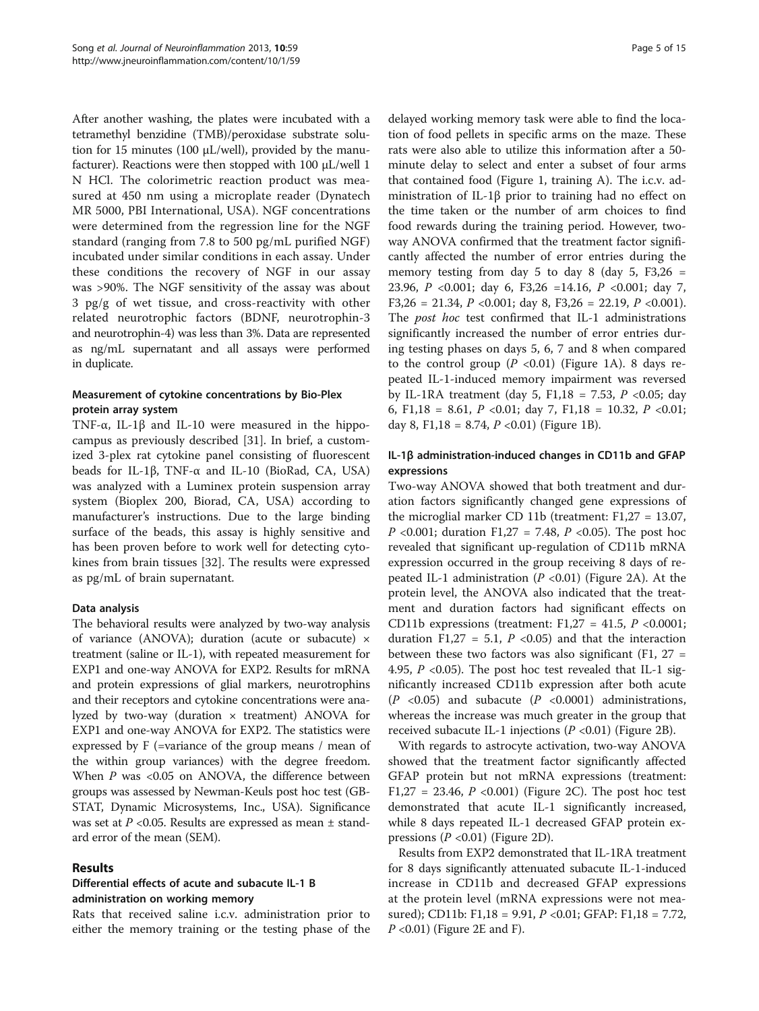After another washing, the plates were incubated with a tetramethyl benzidine (TMB)/peroxidase substrate solution for 15 minutes (100 μL/well), provided by the manufacturer). Reactions were then stopped with 100 μL/well 1 N HCl. The colorimetric reaction product was measured at 450 nm using a microplate reader (Dynatech MR 5000, PBI International, USA). NGF concentrations were determined from the regression line for the NGF standard (ranging from 7.8 to 500 pg/mL purified NGF) incubated under similar conditions in each assay. Under these conditions the recovery of NGF in our assay was >90%. The NGF sensitivity of the assay was about 3 pg/g of wet tissue, and cross-reactivity with other related neurotrophic factors (BDNF, neurotrophin-3 and neurotrophin-4) was less than 3%. Data are represented as ng/mL supernatant and all assays were performed in duplicate.

## Measurement of cytokine concentrations by Bio-Plex protein array system

TNF-α, IL-1β and IL-10 were measured in the hippocampus as previously described [[31\]](#page-13-0). In brief, a customized 3-plex rat cytokine panel consisting of fluorescent beads for IL-1β, TNF-α and IL-10 (BioRad, CA, USA) was analyzed with a Luminex protein suspension array system (Bioplex 200, Biorad, CA, USA) according to manufacturer's instructions. Due to the large binding surface of the beads, this assay is highly sensitive and has been proven before to work well for detecting cytokines from brain tissues [\[32\]](#page-13-0). The results were expressed as pg/mL of brain supernatant.

## Data analysis

The behavioral results were analyzed by two-way analysis of variance (ANOVA); duration (acute or subacute) × treatment (saline or IL-1), with repeated measurement for EXP1 and one-way ANOVA for EXP2. Results for mRNA and protein expressions of glial markers, neurotrophins and their receptors and cytokine concentrations were analyzed by two-way (duration  $\times$  treatment) ANOVA for EXP1 and one-way ANOVA for EXP2. The statistics were expressed by F (=variance of the group means / mean of the within group variances) with the degree freedom. When  $P$  was <0.05 on ANOVA, the difference between groups was assessed by Newman-Keuls post hoc test (GB-STAT, Dynamic Microsystems, Inc., USA). Significance was set at  $P$  <0.05. Results are expressed as mean  $\pm$  standard error of the mean (SEM).

## Results

# Differential effects of acute and subacute IL-1 B administration on working memory

Rats that received saline i.c.v. administration prior to either the memory training or the testing phase of the

delayed working memory task were able to find the location of food pellets in specific arms on the maze. These rats were also able to utilize this information after a 50 minute delay to select and enter a subset of four arms that contained food (Figure [1](#page-5-0), training A). The i.c.v. administration of IL-1β prior to training had no effect on the time taken or the number of arm choices to find food rewards during the training period. However, twoway ANOVA confirmed that the treatment factor significantly affected the number of error entries during the memory testing from day 5 to day 8 (day 5,  $F3,26 =$ 23.96, P <0.001; day 6, F3,26 =14.16, P <0.001; day 7, F3,26 = 21.34,  $P \le 0.001$ ; day 8, F3,26 = 22.19,  $P \le 0.001$ ). The *post hoc* test confirmed that IL-1 administrations significantly increased the number of error entries during testing phases on days 5, 6, 7 and 8 when compared to the control group ( $P < 0.01$ ) (Figure [1A](#page-5-0)). 8 days repeated IL-1-induced memory impairment was reversed by IL-1RA treatment (day 5, F1,18 = 7.53,  $P$  <0.05; day 6, F1,18 = 8.61, P < 0.01; day 7, F1,18 = 10.32, P < 0.01; day 8, F1,18 = 8.74,  $P \le 0.01$  (Figure [1B](#page-5-0)).

# IL-1β administration-induced changes in CD11b and GFAP expressions

Two-way ANOVA showed that both treatment and duration factors significantly changed gene expressions of the microglial marker CD 11b (treatment: F1,27 = 13.07, *P* <0.001; duration F1,27 = 7.48, *P* <0.05). The post hoc revealed that significant up-regulation of CD11b mRNA expression occurred in the group receiving 8 days of repeated IL-1 administration ( $P < 0.01$ ) (Figure [2A](#page-6-0)). At the protein level, the ANOVA also indicated that the treatment and duration factors had significant effects on CD11b expressions (treatment: F1,27 = 41.5,  $P$  <0.0001; duration F1,27 = 5.1,  $P \le 0.05$ ) and that the interaction between these two factors was also significant  $(F1, 27)$  = 4.95,  $P \le 0.05$ ). The post hoc test revealed that IL-1 significantly increased CD11b expression after both acute  $(P \le 0.05)$  and subacute  $(P \le 0.0001)$  administrations, whereas the increase was much greater in the group that received subacute IL-1 injections  $(P < 0.01)$  (Figure [2](#page-6-0)B).

With regards to astrocyte activation, two-way ANOVA showed that the treatment factor significantly affected GFAP protein but not mRNA expressions (treatment: F1,27 = 23.46,  $P$  <0.001) (Figure [2C](#page-6-0)). The post hoc test demonstrated that acute IL-1 significantly increased, while 8 days repeated IL-1 decreased GFAP protein expressions  $(P \le 0.01)$  (Figure [2](#page-6-0)D).

Results from EXP2 demonstrated that IL-1RA treatment for 8 days significantly attenuated subacute IL-1-induced increase in CD11b and decreased GFAP expressions at the protein level (mRNA expressions were not measured); CD11b: F1,18 = 9.91, P <0.01; GFAP: F1,18 = 7.72,  $P \leq 0.01$ ) (Figure [2E](#page-6-0) and F).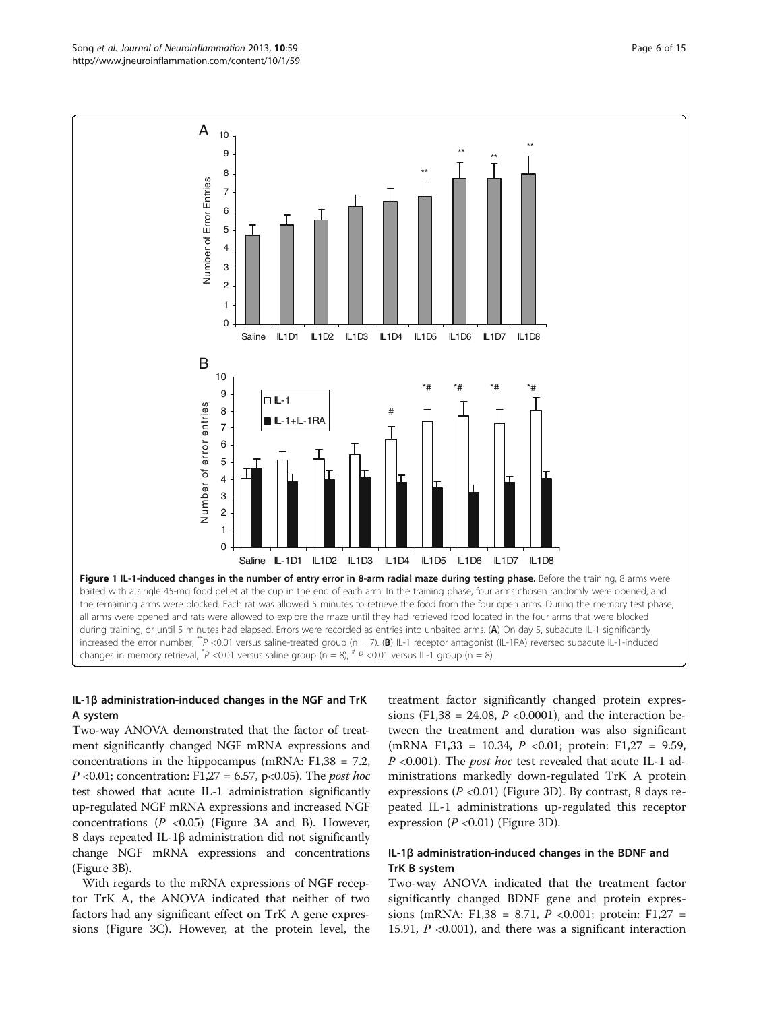# IL-1β administration-induced changes in the NGF and TrK A system

Two-way ANOVA demonstrated that the factor of treatment significantly changed NGF mRNA expressions and concentrations in the hippocampus (mRNA: F1,38 = 7.2,  $P \le 0.01$ ; concentration: F1,27 = 6.57, p $\le 0.05$ ). The *post hoc* test showed that acute IL-1 administration significantly up-regulated NGF mRNA expressions and increased NGF concentrations  $(P \le 0.05)$  (Figure [3](#page-7-0)A and B). However, 8 days repeated IL-1β administration did not significantly change NGF mRNA expressions and concentrations (Figure [3](#page-7-0)B).

With regards to the mRNA expressions of NGF receptor TrK A, the ANOVA indicated that neither of two factors had any significant effect on TrK A gene expressions (Figure [3C](#page-7-0)). However, at the protein level, the

treatment factor significantly changed protein expressions (F1,38 = 24.08,  $P$  <0.0001), and the interaction between the treatment and duration was also significant (mRNA F1,33 = 10.34, P <0.01; protein: F1,27 = 9.59, P <0.001). The post hoc test revealed that acute IL-1 administrations markedly down-regulated TrK A protein expressions ( $P < 0.01$ ) (Figure [3](#page-7-0)D). By contrast, 8 days repeated IL-1 administrations up-regulated this receptor expression  $(P \le 0.01)$  (Figure [3D](#page-7-0)).

# IL-1β administration-induced changes in the BDNF and TrK B system

Two-way ANOVA indicated that the treatment factor significantly changed BDNF gene and protein expressions (mRNA: F1,38 = 8.71,  $P$  <0.001; protein: F1,27 = 15.91,  $P$  <0.001), and there was a significant interaction

<span id="page-5-0"></span>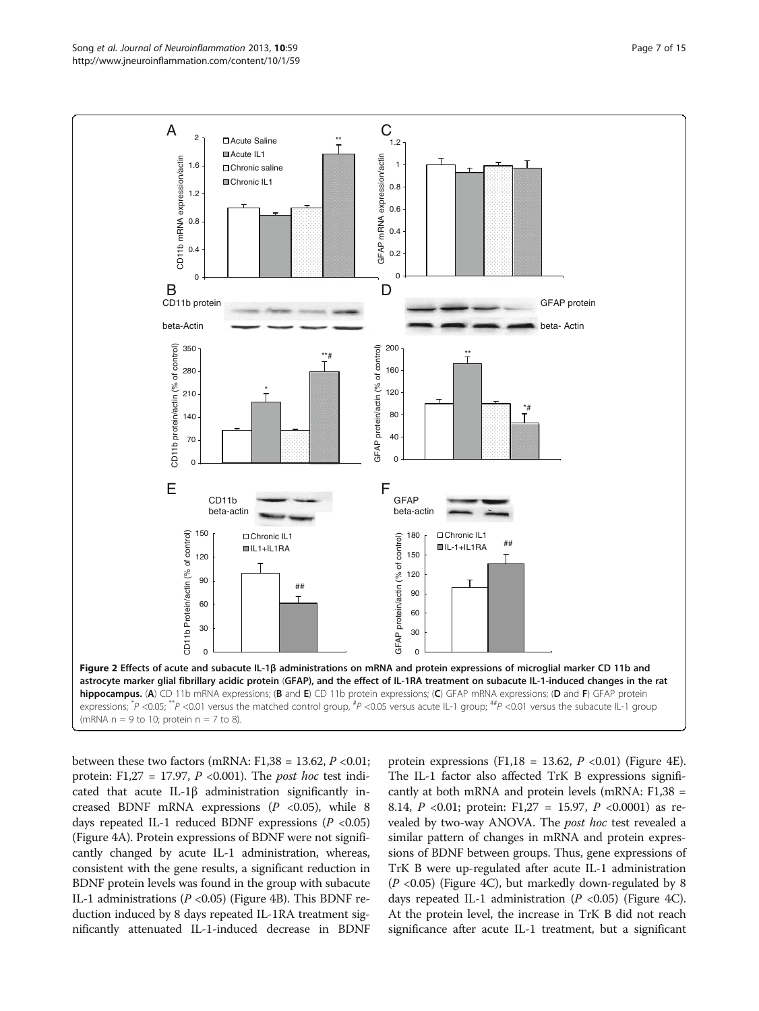<span id="page-6-0"></span>

between these two factors (mRNA:  $F1,38 = 13.62, P < 0.01$ ; protein: F1,27 = 17.97,  $P$  <0.001). The *post hoc* test indicated that acute IL-1 $\beta$  administration significantly increased BDNF mRNA expressions  $(P \lt 0.05)$ , while 8 days repeated IL-1 reduced BDNF expressions ( $P < 0.05$ ) (Figure [4](#page-8-0)A). Protein expressions of BDNF were not significantly changed by acute IL-1 administration, whereas, consistent with the gene results, a significant reduction in BDNF protein levels was found in the group with subacute IL-1 administrations ( $P < 0.05$ ) (Figure [4B](#page-8-0)). This BDNF reduction induced by 8 days repeated IL-1RA treatment significantly attenuated IL-1-induced decrease in BDNF

protein expressions (F1,18 = 13.62,  $P$  <0.01) (Figure [4](#page-8-0)E). The IL-1 factor also affected TrK B expressions significantly at both mRNA and protein levels (mRNA: F1,38 = 8.14,  $P \le 0.01$ ; protein: F1,27 = 15.97,  $P \le 0.0001$ ) as revealed by two-way ANOVA. The post hoc test revealed a similar pattern of changes in mRNA and protein expressions of BDNF between groups. Thus, gene expressions of TrK B were up-regulated after acute IL-1 administration  $(P \le 0.05)$  (Figure [4C](#page-8-0)), but markedly down-regulated by 8 days repeated IL-1 administration  $(P \lt 0.05)$  (Figure [4C](#page-8-0)). At the protein level, the increase in TrK B did not reach significance after acute IL-1 treatment, but a significant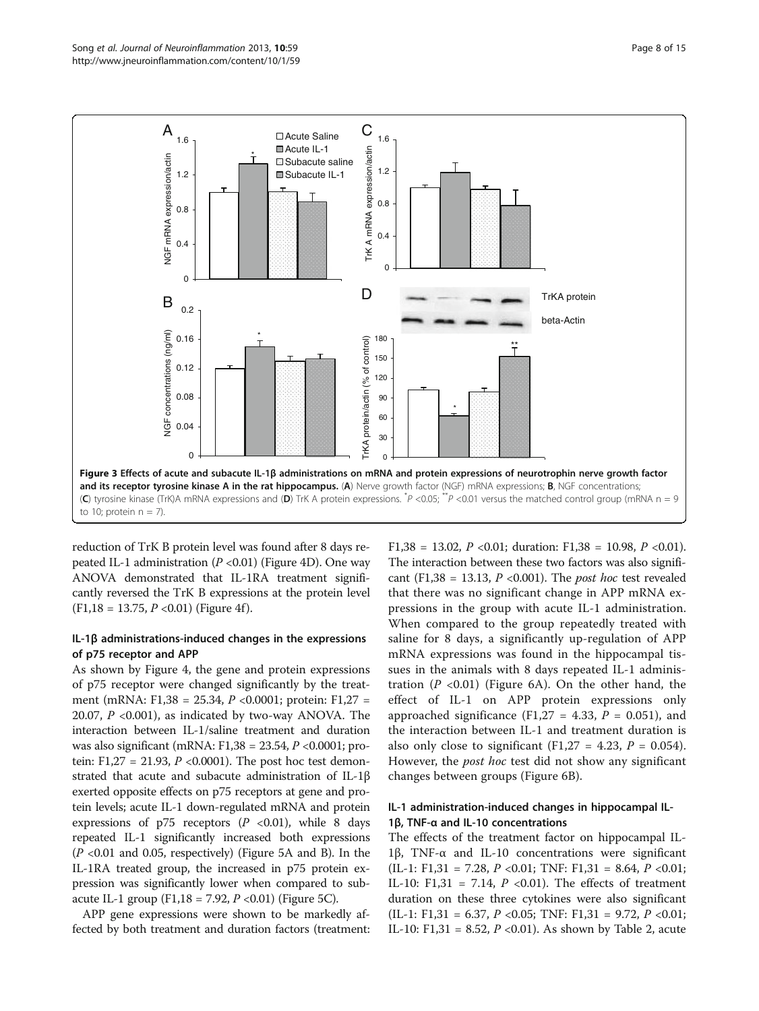<span id="page-7-0"></span>

reduction of TrK B protein level was found after 8 days repeated IL-1 administration ( $P < 0.01$ ) (Figure [4](#page-8-0)D). One way ANOVA demonstrated that IL-1RA treatment significantly reversed the TrK B expressions at the protein level  $(F1,18 = 13.75, P < 0.01)$  (Figure [4](#page-8-0)f).

## IL-1β administrations-induced changes in the expressions of p75 receptor and APP

As shown by Figure [4,](#page-8-0) the gene and protein expressions of p75 receptor were changed significantly by the treatment (mRNA: F1,38 = 25.34, P <0.0001; protein: F1,27 = 20.07,  $P \leq 0.001$ ), as indicated by two-way ANOVA. The interaction between IL-1/saline treatment and duration was also significant (mRNA: F1,38 = 23.54, P <0.0001; protein: F1,27 = 21.93,  $P \le 0.0001$ ). The post hoc test demonstrated that acute and subacute administration of IL-1β exerted opposite effects on p75 receptors at gene and protein levels; acute IL-1 down-regulated mRNA and protein expressions of  $p75$  receptors ( $P < 0.01$ ), while 8 days repeated IL-1 significantly increased both expressions  $(P < 0.01$  and 0.05, respectively) (Figure [5](#page-9-0)A and B). In the IL-1RA treated group, the increased in p75 protein expression was significantly lower when compared to sub-acute IL-1 group (F1,18 = 7.92, P < 0.01) (Figure [5](#page-9-0)C).

APP gene expressions were shown to be markedly affected by both treatment and duration factors (treatment:

F1,38 = 13.02,  $P$  <0.01; duration: F1,38 = 10.98,  $P$  <0.01). The interaction between these two factors was also significant (F1,38 = 13.13,  $P \le 0.001$ ). The *post hoc* test revealed that there was no significant change in APP mRNA expressions in the group with acute IL-1 administration. When compared to the group repeatedly treated with saline for 8 days, a significantly up-regulation of APP mRNA expressions was found in the hippocampal tissues in the animals with 8 days repeated IL-1 administration  $(P \le 0.01)$  (Figure [6A](#page-9-0)). On the other hand, the effect of IL-1 on APP protein expressions only approached significance (F1,27 = 4.33,  $P = 0.051$ ), and the interaction between IL-1 and treatment duration is also only close to significant (F1,27 = 4.23,  $P = 0.054$ ). However, the *post hoc* test did not show any significant changes between groups (Figure [6B](#page-9-0)).

# IL-1 administration-induced changes in hippocampal IL-1β, TNF-α and IL-10 concentrations

The effects of the treatment factor on hippocampal IL-1β, TNF-α and IL-10 concentrations were significant  $(II-1: F1,31 = 7.28, P < 0.01; TNF: F1,31 = 8.64, P < 0.01;$ IL-10: F1,31 = 7.14,  $P \le 0.01$ ). The effects of treatment duration on these three cytokines were also significant (IL-1: F1,31 = 6.37, P < 0.05; TNF: F1,31 = 9.72, P < 0.01; IL-10: F1,31 = 8.52,  $P$  <0.01). As shown by Table [2,](#page-10-0) acute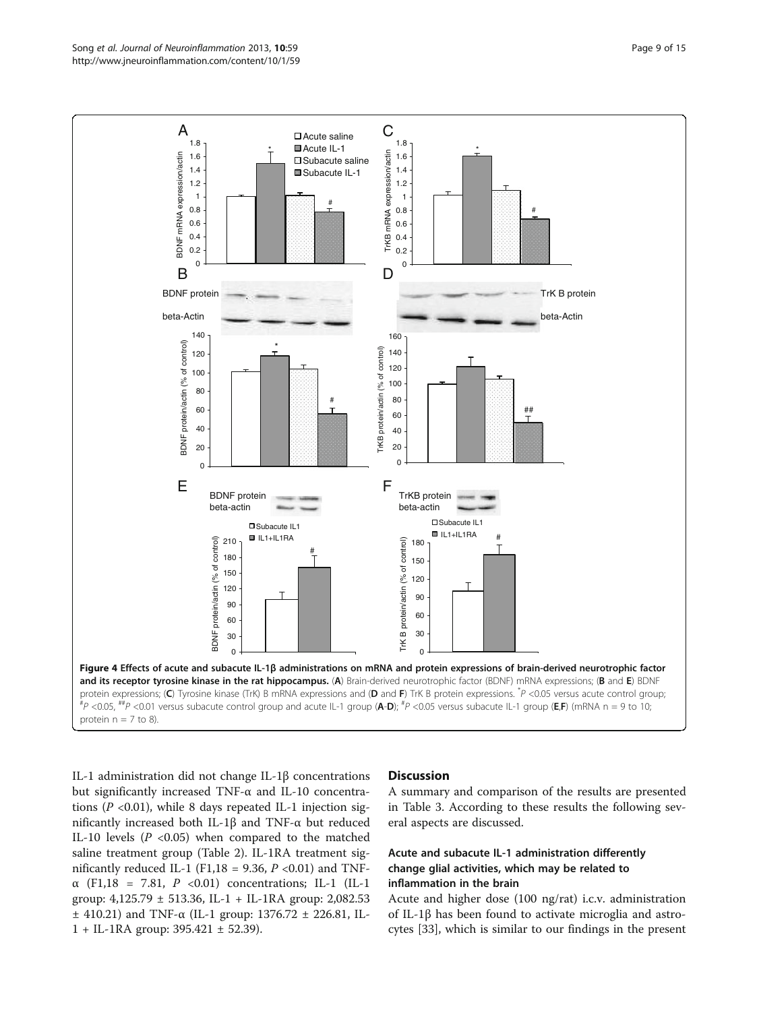<span id="page-8-0"></span>

IL-1 administration did not change IL-1β concentrations but significantly increased TNF-α and IL-10 concentrations ( $P < 0.01$ ), while 8 days repeated IL-1 injection significantly increased both IL-1β and TNF-α but reduced IL-10 levels  $(P \le 0.05)$  when compared to the matched saline treatment group (Table [2\)](#page-10-0). IL-1RA treatment significantly reduced IL-1 (F1,18 = 9.36,  $P$  <0.01) and TNFα (F1,18 = 7.81, P <0.01) concentrations; IL-1 (IL-1 group:  $4,125.79 \pm 513.36$ , IL-1 + IL-1RA group: 2,082.53 ± 410.21) and TNF-α (IL-1 group: 1376.72 ± 226.81, IL-1 + IL-1RA group: 395.421 ± 52.39).

## **Discussion**

A summary and comparison of the results are presented in Table [3.](#page-10-0) According to these results the following several aspects are discussed.

# Acute and subacute IL-1 administration differently change glial activities, which may be related to inflammation in the brain

Acute and higher dose (100 ng/rat) i.c.v. administration of IL-1β has been found to activate microglia and astrocytes [\[33\]](#page-13-0), which is similar to our findings in the present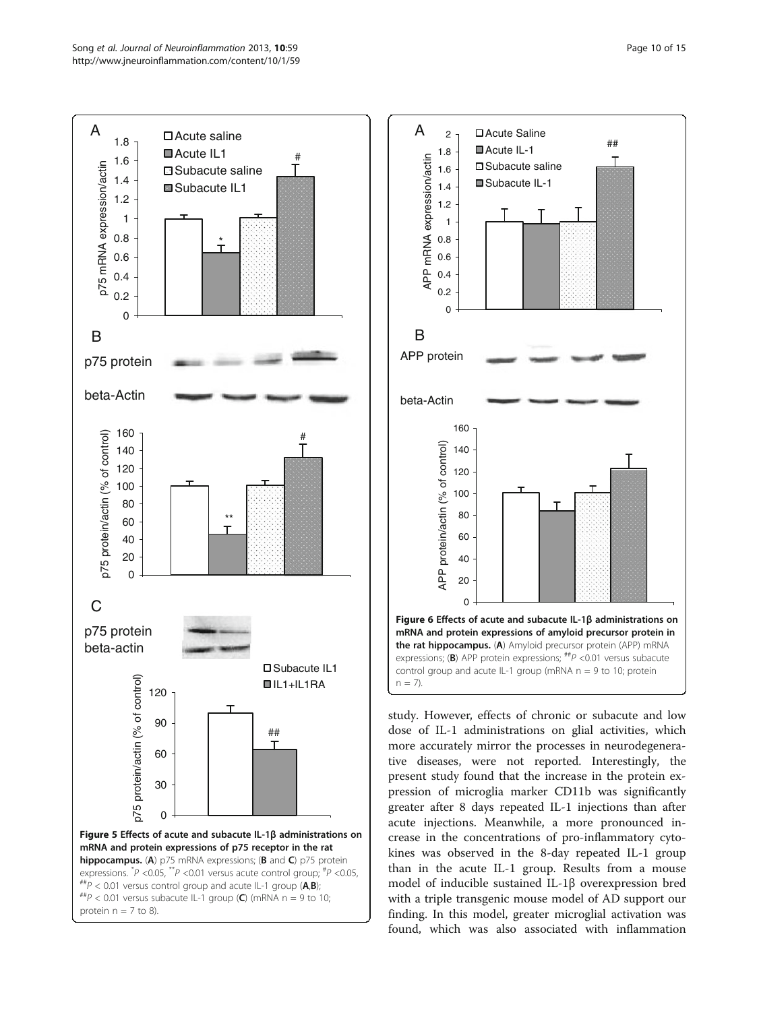<span id="page-9-0"></span>



study. However, effects of chronic or subacute and low dose of IL-1 administrations on glial activities, which more accurately mirror the processes in neurodegenerative diseases, were not reported. Interestingly, the present study found that the increase in the protein expression of microglia marker CD11b was significantly greater after 8 days repeated IL-1 injections than after acute injections. Meanwhile, a more pronounced increase in the concentrations of pro-inflammatory cytokines was observed in the 8-day repeated IL-1 group than in the acute IL-1 group. Results from a mouse model of inducible sustained IL-1β overexpression bred with a triple transgenic mouse model of AD support our finding. In this model, greater microglial activation was found, which was also associated with inflammation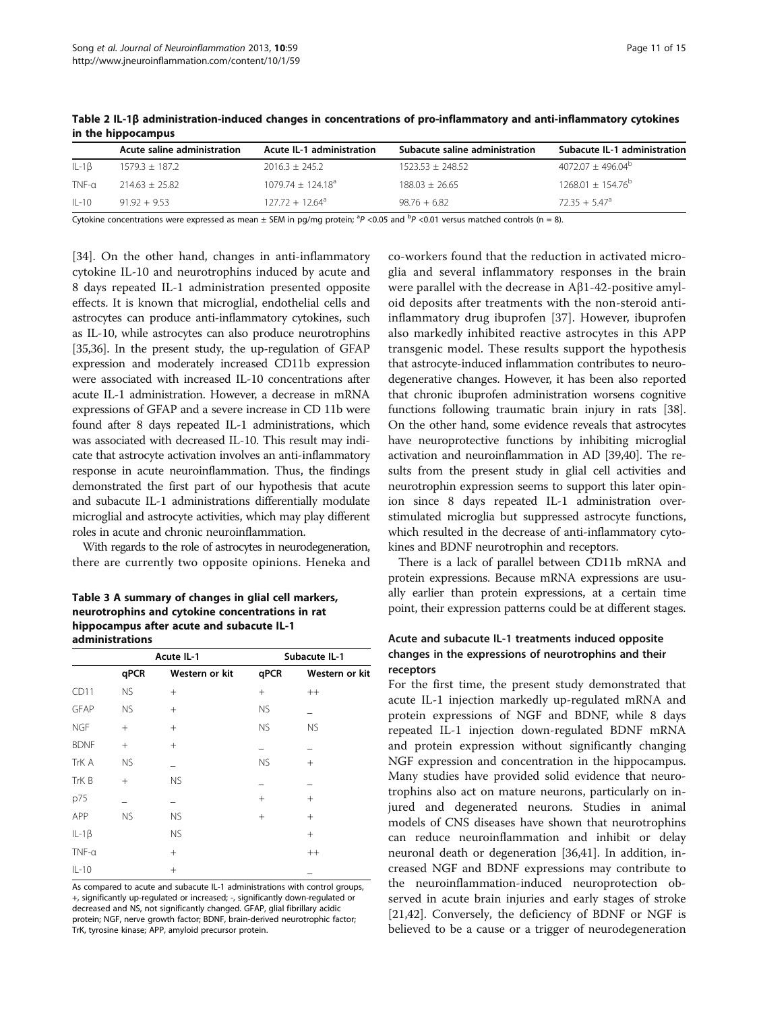|              | Acute saline administration | <b>Acute IL-1 administration</b> | Subacute saline administration | Subacute IL-1 administration |
|--------------|-----------------------------|----------------------------------|--------------------------------|------------------------------|
| $IL - 1B$    | $1579.3 \pm 187.2$          | $2016.3 + 245.2$                 | $1523.53 + 248.52$             | $4072.07 + 496.04^{b}$       |
| $TNF-\alpha$ | $214.63 + 25.82$            | $1079.74 + 124.18a$              | $188.03 + 26.65$               | $1268.01 \pm 154.76^b$       |
| $II - 10$    | $91.92 + 9.53$              | $127.72 + 12.64^{\circ}$         | $98.76 + 6.82$                 | $7235 + 547^{\circ}$         |

<span id="page-10-0"></span>Table 2 IL-1β administration-induced changes in concentrations of pro-inflammatory and anti-inflammatory cytokines in the hippocampus

Cytokine concentrations were expressed as mean  $\pm$  SEM in pg/mg protein; <sup>a</sup>P <0.05 and <sup>b</sup>P <0.01 versus matched controls (n = 8).

[[34\]](#page-13-0). On the other hand, changes in anti-inflammatory cytokine IL-10 and neurotrophins induced by acute and 8 days repeated IL-1 administration presented opposite effects. It is known that microglial, endothelial cells and astrocytes can produce anti-inflammatory cytokines, such as IL-10, while astrocytes can also produce neurotrophins [[35,36\]](#page-13-0). In the present study, the up-regulation of GFAP expression and moderately increased CD11b expression were associated with increased IL-10 concentrations after acute IL-1 administration. However, a decrease in mRNA expressions of GFAP and a severe increase in CD 11b were found after 8 days repeated IL-1 administrations, which was associated with decreased IL-10. This result may indicate that astrocyte activation involves an anti-inflammatory response in acute neuroinflammation. Thus, the findings demonstrated the first part of our hypothesis that acute and subacute IL-1 administrations differentially modulate microglial and astrocyte activities, which may play different roles in acute and chronic neuroinflammation.

With regards to the role of astrocytes in neurodegeneration, there are currently two opposite opinions. Heneka and

Table 3 A summary of changes in glial cell markers, neurotrophins and cytokine concentrations in rat hippocampus after acute and subacute IL-1 administrations

|              |           | Acute IL-1     |                 | Subacute IL-1   |  |  |
|--------------|-----------|----------------|-----------------|-----------------|--|--|
|              | qPCR      | Western or kit | qPCR            | Western or kit  |  |  |
| CD11         | NS.       | $^{+}$         | $+$             | $^{++}$         |  |  |
| <b>GFAP</b>  | NS.       | $^{+}$         | <b>NS</b>       |                 |  |  |
| <b>NGF</b>   | $^{+}$    | $^{+}$         | <b>NS</b>       | <b>NS</b>       |  |  |
| <b>BDNF</b>  | $^{+}$    | $+$            |                 |                 |  |  |
| TrK A        | <b>NS</b> |                | <b>NS</b>       | $^{+}$          |  |  |
| TrK B        | $^{+}$    | <b>NS</b>      |                 |                 |  |  |
| p75          |           |                | $+$             | $\! + \!\!\!\!$ |  |  |
| APP          | <b>NS</b> | <b>NS</b>      | $\! + \!\!\!\!$ | $^{+}$          |  |  |
| $IL-1\beta$  |           | <b>NS</b>      |                 | $^{+}$          |  |  |
| $TNF-\alpha$ |           | $^{+}$         |                 | $^{++}$         |  |  |
| $IL-10$      |           | $^{+}$         |                 |                 |  |  |

As compared to acute and subacute IL-1 administrations with control groups, +, significantly up-regulated or increased; -, significantly down-regulated or decreased and NS, not significantly changed. GFAP, glial fibrillary acidic protein; NGF, nerve growth factor; BDNF, brain-derived neurotrophic factor; TrK, tyrosine kinase; APP, amyloid precursor protein.

co-workers found that the reduction in activated microglia and several inflammatory responses in the brain were parallel with the decrease in Aβ1-42-positive amyloid deposits after treatments with the non-steroid antiinflammatory drug ibuprofen [[37\]](#page-13-0). However, ibuprofen also markedly inhibited reactive astrocytes in this APP transgenic model. These results support the hypothesis that astrocyte-induced inflammation contributes to neurodegenerative changes. However, it has been also reported that chronic ibuprofen administration worsens cognitive functions following traumatic brain injury in rats [[38](#page-13-0)]. On the other hand, some evidence reveals that astrocytes have neuroprotective functions by inhibiting microglial activation and neuroinflammation in AD [[39,40](#page-13-0)]. The results from the present study in glial cell activities and neurotrophin expression seems to support this later opinion since 8 days repeated IL-1 administration overstimulated microglia but suppressed astrocyte functions, which resulted in the decrease of anti-inflammatory cytokines and BDNF neurotrophin and receptors.

There is a lack of parallel between CD11b mRNA and protein expressions. Because mRNA expressions are usually earlier than protein expressions, at a certain time point, their expression patterns could be at different stages.

# Acute and subacute IL-1 treatments induced opposite changes in the expressions of neurotrophins and their receptors

For the first time, the present study demonstrated that acute IL-1 injection markedly up-regulated mRNA and protein expressions of NGF and BDNF, while 8 days repeated IL-1 injection down-regulated BDNF mRNA and protein expression without significantly changing NGF expression and concentration in the hippocampus. Many studies have provided solid evidence that neurotrophins also act on mature neurons, particularly on injured and degenerated neurons. Studies in animal models of CNS diseases have shown that neurotrophins can reduce neuroinflammation and inhibit or delay neuronal death or degeneration [[36,41\]](#page-13-0). In addition, increased NGF and BDNF expressions may contribute to the neuroinflammation-induced neuroprotection observed in acute brain injuries and early stages of stroke [[21,42\]](#page-13-0). Conversely, the deficiency of BDNF or NGF is believed to be a cause or a trigger of neurodegeneration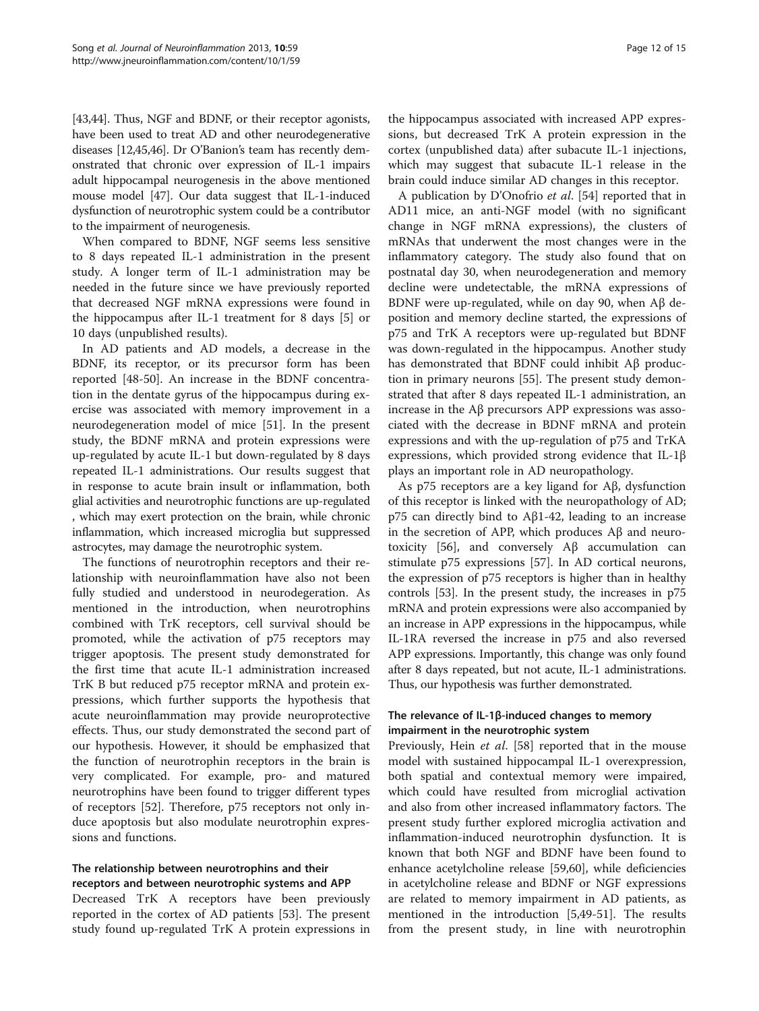[[43,44](#page-13-0)]. Thus, NGF and BDNF, or their receptor agonists, have been used to treat AD and other neurodegenerative diseases [[12](#page-12-0)[,45,46\]](#page-13-0). Dr O'Banion's team has recently demonstrated that chronic over expression of IL-1 impairs adult hippocampal neurogenesis in the above mentioned mouse model [[47](#page-13-0)]. Our data suggest that IL-1-induced dysfunction of neurotrophic system could be a contributor to the impairment of neurogenesis.

When compared to BDNF, NGF seems less sensitive to 8 days repeated IL-1 administration in the present study. A longer term of IL-1 administration may be needed in the future since we have previously reported that decreased NGF mRNA expressions were found in the hippocampus after IL-1 treatment for 8 days [[5\]](#page-12-0) or 10 days (unpublished results).

In AD patients and AD models, a decrease in the BDNF, its receptor, or its precursor form has been reported [\[48](#page-13-0)-[50](#page-13-0)]. An increase in the BDNF concentration in the dentate gyrus of the hippocampus during exercise was associated with memory improvement in a neurodegeneration model of mice [\[51\]](#page-13-0). In the present study, the BDNF mRNA and protein expressions were up-regulated by acute IL-1 but down-regulated by 8 days repeated IL-1 administrations. Our results suggest that in response to acute brain insult or inflammation, both glial activities and neurotrophic functions are up-regulated , which may exert protection on the brain, while chronic inflammation, which increased microglia but suppressed astrocytes, may damage the neurotrophic system.

The functions of neurotrophin receptors and their relationship with neuroinflammation have also not been fully studied and understood in neurodegeration. As mentioned in the introduction, when neurotrophins combined with TrK receptors, cell survival should be promoted, while the activation of p75 receptors may trigger apoptosis. The present study demonstrated for the first time that acute IL-1 administration increased TrK B but reduced p75 receptor mRNA and protein expressions, which further supports the hypothesis that acute neuroinflammation may provide neuroprotective effects. Thus, our study demonstrated the second part of our hypothesis. However, it should be emphasized that the function of neurotrophin receptors in the brain is very complicated. For example, pro- and matured neurotrophins have been found to trigger different types of receptors [[52](#page-13-0)]. Therefore, p75 receptors not only induce apoptosis but also modulate neurotrophin expressions and functions.

# The relationship between neurotrophins and their receptors and between neurotrophic systems and APP

Decreased TrK A receptors have been previously reported in the cortex of AD patients [[53\]](#page-13-0). The present study found up-regulated TrK A protein expressions in

the hippocampus associated with increased APP expressions, but decreased TrK A protein expression in the cortex (unpublished data) after subacute IL-1 injections, which may suggest that subacute IL-1 release in the brain could induce similar AD changes in this receptor.

A publication by D'Onofrio et al. [[54\]](#page-13-0) reported that in AD11 mice, an anti-NGF model (with no significant change in NGF mRNA expressions), the clusters of mRNAs that underwent the most changes were in the inflammatory category. The study also found that on postnatal day 30, when neurodegeneration and memory decline were undetectable, the mRNA expressions of BDNF were up-regulated, while on day 90, when Aβ deposition and memory decline started, the expressions of p75 and TrK A receptors were up-regulated but BDNF was down-regulated in the hippocampus. Another study has demonstrated that BDNF could inhibit Aβ production in primary neurons [\[55](#page-13-0)]. The present study demonstrated that after 8 days repeated IL-1 administration, an increase in the Aβ precursors APP expressions was associated with the decrease in BDNF mRNA and protein expressions and with the up-regulation of p75 and TrKA expressions, which provided strong evidence that IL-1β plays an important role in AD neuropathology.

As p75 receptors are a key ligand for Aβ, dysfunction of this receptor is linked with the neuropathology of AD; p75 can directly bind to Aβ1-42, leading to an increase in the secretion of APP, which produces Aβ and neurotoxicity [[56\]](#page-13-0), and conversely Aβ accumulation can stimulate p75 expressions [\[57\]](#page-13-0). In AD cortical neurons, the expression of p75 receptors is higher than in healthy controls [[53](#page-13-0)]. In the present study, the increases in p75 mRNA and protein expressions were also accompanied by an increase in APP expressions in the hippocampus, while IL-1RA reversed the increase in p75 and also reversed APP expressions. Importantly, this change was only found after 8 days repeated, but not acute, IL-1 administrations. Thus, our hypothesis was further demonstrated.

## The relevance of IL-1β-induced changes to memory impairment in the neurotrophic system

Previously, Hein *et al.* [\[58\]](#page-13-0) reported that in the mouse model with sustained hippocampal IL-1 overexpression, both spatial and contextual memory were impaired, which could have resulted from microglial activation and also from other increased inflammatory factors. The present study further explored microglia activation and inflammation-induced neurotrophin dysfunction. It is known that both NGF and BDNF have been found to enhance acetylcholine release [[59](#page-13-0),[60](#page-13-0)], while deficiencies in acetylcholine release and BDNF or NGF expressions are related to memory impairment in AD patients, as mentioned in the introduction [[5,](#page-12-0)[49-51](#page-13-0)]. The results from the present study, in line with neurotrophin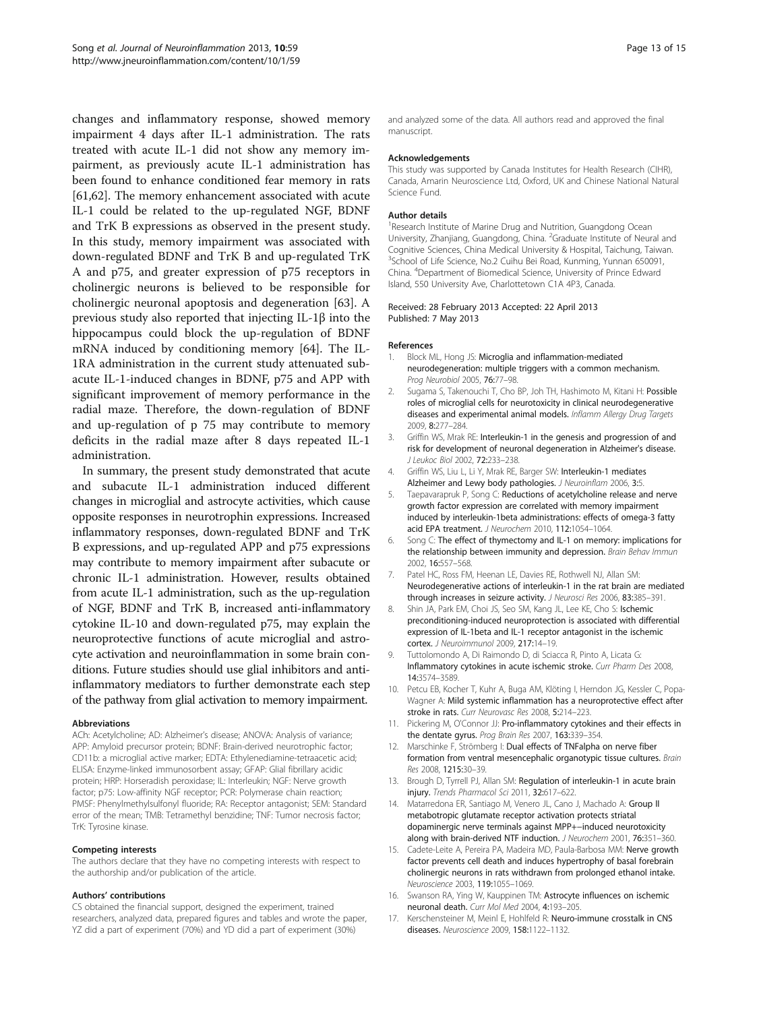<span id="page-12-0"></span>changes and inflammatory response, showed memory impairment 4 days after IL-1 administration. The rats treated with acute IL-1 did not show any memory impairment, as previously acute IL-1 administration has been found to enhance conditioned fear memory in rats [[61,62\]](#page-14-0). The memory enhancement associated with acute IL-1 could be related to the up-regulated NGF, BDNF and TrK B expressions as observed in the present study. In this study, memory impairment was associated with down-regulated BDNF and TrK B and up-regulated TrK A and p75, and greater expression of p75 receptors in cholinergic neurons is believed to be responsible for cholinergic neuronal apoptosis and degeneration [[63\]](#page-14-0). A previous study also reported that injecting IL-1β into the hippocampus could block the up-regulation of BDNF mRNA induced by conditioning memory [\[64\]](#page-14-0). The IL-1RA administration in the current study attenuated subacute IL-1-induced changes in BDNF, p75 and APP with significant improvement of memory performance in the radial maze. Therefore, the down-regulation of BDNF and up-regulation of p 75 may contribute to memory deficits in the radial maze after 8 days repeated IL-1 administration.

In summary, the present study demonstrated that acute and subacute IL-1 administration induced different changes in microglial and astrocyte activities, which cause opposite responses in neurotrophin expressions. Increased inflammatory responses, down-regulated BDNF and TrK B expressions, and up-regulated APP and p75 expressions may contribute to memory impairment after subacute or chronic IL-1 administration. However, results obtained from acute IL-1 administration, such as the up-regulation of NGF, BDNF and TrK B, increased anti-inflammatory cytokine IL-10 and down-regulated p75, may explain the neuroprotective functions of acute microglial and astrocyte activation and neuroinflammation in some brain conditions. Future studies should use glial inhibitors and antiinflammatory mediators to further demonstrate each step of the pathway from glial activation to memory impairment.

#### Abbreviations

ACh: Acetylcholine; AD: Alzheimer's disease; ANOVA: Analysis of variance; APP: Amyloid precursor protein; BDNF: Brain-derived neurotrophic factor; CD11b: a microglial active marker; EDTA: Ethylenediamine-tetraacetic acid; ELISA: Enzyme-linked immunosorbent assay; GFAP: Glial fibrillary acidic protein; HRP: Horseradish peroxidase; IL: Interleukin; NGF: Nerve growth factor; p75: Low-affinity NGF receptor; PCR: Polymerase chain reaction; PMSF: Phenylmethylsulfonyl fluoride; RA: Receptor antagonist; SEM: Standard error of the mean; TMB: Tetramethyl benzidine; TNF: Tumor necrosis factor; TrK: Tyrosine kinase.

#### Competing interests

The authors declare that they have no competing interests with respect to the authorship and/or publication of the article.

#### Authors' contributions

CS obtained the financial support, designed the experiment, trained researchers, analyzed data, prepared figures and tables and wrote the paper, YZ did a part of experiment (70%) and YD did a part of experiment (30%)

and analyzed some of the data. All authors read and approved the final manuscript.

#### Acknowledgements

This study was supported by Canada Institutes for Health Research (CIHR), Canada, Amarin Neuroscience Ltd, Oxford, UK and Chinese National Natural Science Fund.

#### Author details

<sup>1</sup> Research Institute of Marine Drug and Nutrition, Guangdong Ocean University, Zhanjiang, Guangdong, China. <sup>2</sup>Graduate Institute of Neural and Cognitive Sciences, China Medical University & Hospital, Taichung, Taiwan. <sup>3</sup>School of Life Science, No.2 Cuihu Bei Road, Kunming, Yunnan 650091, China. <sup>4</sup> Department of Biomedical Science, University of Prince Edward Island, 550 University Ave, Charlottetown C1A 4P3, Canada.

#### Received: 28 February 2013 Accepted: 22 April 2013 Published: 7 May 2013

#### References

- 1. Block ML, Hong JS: Microglia and inflammation-mediated neurodegeneration: multiple triggers with a common mechanism. Prog Neurobiol 2005, 76:77–98.
- 2. Sugama S, Takenouchi T, Cho BP, Joh TH, Hashimoto M, Kitani H: Possible roles of microglial cells for neurotoxicity in clinical neurodegenerative diseases and experimental animal models. Inflamm Allergy Drug Targets 2009, 8:277–284.
- 3. Griffin WS, Mrak RE: Interleukin-1 in the genesis and progression of and risk for development of neuronal degeneration in Alzheimer's disease. J Leukoc Biol 2002, 72:233–238.
- 4. Griffin WS, Liu L, Li Y, Mrak RE, Barger SW: Interleukin-1 mediates Alzheimer and Lewy body pathologies. J Neuroinflam 2006, 3:5.
- 5. Taepavarapruk P, Song C: Reductions of acetylcholine release and nerve growth factor expression are correlated with memory impairment induced by interleukin-1beta administrations: effects of omega-3 fatty acid EPA treatment. J Neurochem 2010, 112:1054–1064.
- 6. Song C: The effect of thymectomy and IL-1 on memory: implications for the relationship between immunity and depression. Brain Behav Immun 2002, 16:557–568.
- 7. Patel HC, Ross FM, Heenan LE, Davies RE, Rothwell NJ, Allan SM: Neurodegenerative actions of interleukin-1 in the rat brain are mediated through increases in seizure activity. J Neurosci Res 2006, 83:385-391.
- 8. Shin JA, Park EM, Choi JS, Seo SM, Kang JL, Lee KE, Cho S: Ischemic preconditioning-induced neuroprotection is associated with differential expression of IL-1beta and IL-1 receptor antagonist in the ischemic cortex. J Neuroimmunol 2009, 217:14–19.
- 9. Tuttolomondo A, Di Raimondo D, di Sciacca R, Pinto A, Licata G: Inflammatory cytokines in acute ischemic stroke. Curr Pharm Des 2008, 14:3574–3589.
- 10. Petcu EB, Kocher T, Kuhr A, Buga AM, Klöting I, Herndon JG, Kessler C, Popa-Wagner A: Mild systemic inflammation has a neuroprotective effect after stroke in rats. Curr Neurovasc Res 2008, 5:214–223.
- 11. Pickering M, O'Connor JJ: Pro-inflammatory cytokines and their effects in the dentate gyrus. Prog Brain Res 2007, 163:339-354.
- 12. Marschinke F, Strömberg I: Dual effects of TNFalpha on nerve fiber formation from ventral mesencephalic organotypic tissue cultures. Brain Res 2008, 1215:30–39.
- 13. Brough D, Tyrrell PJ, Allan SM: Regulation of interleukin-1 in acute brain injury. Trends Pharmacol Sci 2011, 32:617–622.
- 14. Matarredona ER, Santiago M, Venero JL, Cano J, Machado A: Group II metabotropic glutamate receptor activation protects striatal dopaminergic nerve terminals against MPP+−induced neurotoxicity along with brain-derived NTF induction. J Neurochem 2001, 76:351-360.
- 15. Cadete-Leite A, Pereira PA, Madeira MD, Paula-Barbosa MM: Nerve growth factor prevents cell death and induces hypertrophy of basal forebrain cholinergic neurons in rats withdrawn from prolonged ethanol intake. Neuroscience 2003, 119:1055–1069.
- 16. Swanson RA, Ying W, Kauppinen TM: Astrocyte influences on ischemic neuronal death. Curr Mol Med 2004, 4:193–205.
- 17. Kerschensteiner M, Meinl E, Hohlfeld R: Neuro-immune crosstalk in CNS diseases. Neuroscience 2009, 158:1122–1132.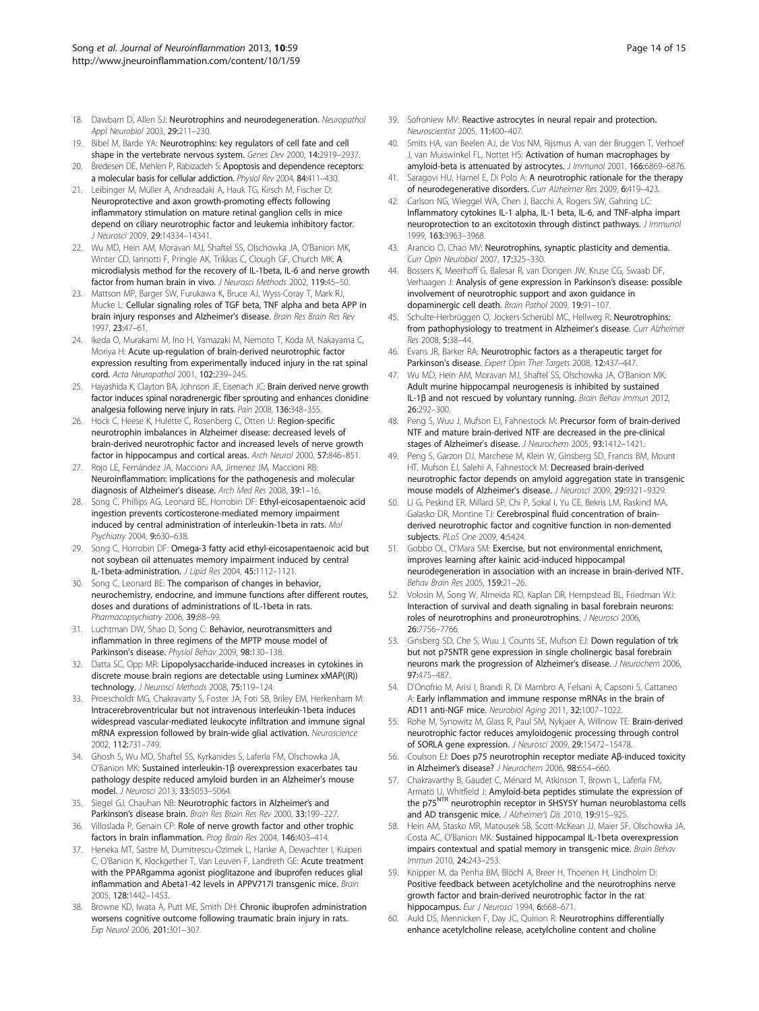- <span id="page-13-0"></span>18. Dawbarn D, Allen SJ: Neurotrophins and neurodegeneration. Neuropathol Appl Neurobiol 2003, 29:211–230.
- 19. Bibel M, Barde YA: Neurotrophins: key regulators of cell fate and cell shape in the vertebrate nervous system. Genes Dev 2000, 14:2919–2937.
- 20. Bredesen DE, Mehlen P, Rabizadeh S: Apoptosis and dependence receptors: a molecular basis for cellular addiction. Physiol Rev 2004, 84:411–430.
- 21. Leibinger M, Müller A, Andreadaki A, Hauk TG, Kirsch M, Fischer D: Neuroprotective and axon growth-promoting effects following inflammatory stimulation on mature retinal ganglion cells in mice depend on ciliary neurotrophic factor and leukemia inhibitory factor. J Neurosci 2009, 29:14334–14341.
- 22. Wu MD, Hein AM, Moravan MJ, Shaftel SS, Olschowka JA, O'Banion MK, Winter CD, Iannotti F, Pringle AK, Trikkas C, Clough GF, Church MK: A microdialysis method for the recovery of IL-1beta, IL-6 and nerve growth factor from human brain in vivo. J Neurosci Methods 2002, 119:45-50.
- 23. Mattson MP, Barger SW, Furukawa K, Bruce AJ, Wyss-Coray T, Mark RJ, Mucke L: Cellular signaling roles of TGF beta, TNF alpha and beta APP in brain injury responses and Alzheimer's disease. Brain Res Brain Res Rev 1997, 23:47–61.
- 24. Ikeda O, Murakami M, Ino H, Yamazaki M, Nemoto T, Koda M, Nakayama C, Moriya H: Acute up-regulation of brain-derived neurotrophic factor expression resulting from experimentally induced injury in the rat spinal cord. Acta Neuropathol 2001, 102:239–245.
- 25. Hayashida K, Clayton BA, Johnson JE, Eisenach JC: Brain derived nerve growth factor induces spinal noradrenergic fiber sprouting and enhances clonidine analgesia following nerve injury in rats. Pain 2008, 136:348-355
- 26. Hock C, Heese K, Hulette C, Rosenberg C, Otten U: Region-specific neurotrophin imbalances in Alzheimer disease: decreased levels of brain-derived neurotrophic factor and increased levels of nerve growth factor in hippocampus and cortical areas. Arch Neurol 2000, 57:846–851.
- 27. Rojo LE, Fernández JA, Maccioni AA, Jimenez JM, Maccioni RB: Neuroinflammation: implications for the pathogenesis and molecular diagnosis of Alzheimer's disease. Arch Med Res 2008, 39:1–16.
- 28. Song C, Phillips AG, Leonard BE, Horrobin DF: Ethyl-eicosapentaenoic acid ingestion prevents corticosterone-mediated memory impairment induced by central administration of interleukin-1beta in rats. Mol Psychiatry 2004, 9:630–638.
- 29. Song C, Horrobin DF: Omega-3 fatty acid ethyl-eicosapentaenoic acid but not soybean oil attenuates memory impairment induced by central IL-1beta-administration. J Lipid Res 2004, 45:1112–1121.
- 30. Song C, Leonard BE: The comparison of changes in behavior, neurochemistry, endocrine, and immune functions after different routes, doses and durations of administrations of IL-1beta in rats. Pharmacopsychiatry 2006, 39:88–99.
- 31. Luchtman DW, Shao D, Song C: Behavior, neurotransmitters and inflammation in three regimens of the MPTP mouse model of Parkinson's disease. Physiol Behav 2009, 98:130–138.
- 32. Datta SC, Opp MR: Lipopolysaccharide-induced increases in cytokines in discrete mouse brain regions are detectable using Luminex xMAP((R)) technology. J Neurosci Methods 2008, 75:119–124.
- 33. Proescholdt MG, Chakravarty S, Foster JA, Foti SB, Briley EM, Herkenham M: Intracerebroventricular but not intravenous interleukin-1beta induces widespread vascular-mediated leukocyte infiltration and immune signal mRNA expression followed by brain-wide glial activation. Neuroscience 2002, 112:731–749.
- 34. Ghosh S, Wu MD, Shaftel SS, Kyrkanides S, Laferla FM, Olschowka JA, O'Banion MK: Sustained interleukin-1β overexpression exacerbates tau pathology despite reduced amyloid burden in an Alzheimer's mouse model. J Neurosci 2013, 33:5053–5064.
- 35. Siegel GJ, Chauhan NB: Neurotrophic factors in Alzheimer's and Parkinson's disease brain. Brain Res Brain Res Rev 2000, 33:199–227.
- 36. Villoslada P, Genain CP: Role of nerve growth factor and other trophic factors in brain inflammation. Prog Brain Res 2004, 146:403–414.
- 37. Heneka MT, Sastre M, Dumitrescu-Ozimek L, Hanke A, Dewachter I, Kuiperi C, O'Banion K, Klockgether T, Van Leuven F, Landreth GE: Acute treatment with the PPARgamma agonist pioglitazone and ibuprofen reduces glial inflammation and Abeta1-42 levels in APPV717I transgenic mice. Brain 2005, 128:1442–1453.
- 38. Browne KD, Iwata A, Putt ME, Smith DH: Chronic ibuprofen administration worsens cognitive outcome following traumatic brain injury in rats. Exp Neurol 2006, 201:301–307.
- 39. Sofroniew MV: Reactive astrocytes in neural repair and protection. Neuroscientist 2005, 11:400–407.
- 40. Smits HA, van Beelen AJ, de Vos NM, Rijsmus A, van der Bruggen T, Verhoef J, van Muiswinkel FL, Nottet HS: Activation of human macrophages by amyloid-beta is attenuated by astrocytes. J Immunol 2001, 166:6869-6876.
- 41. Saragovi HU, Hamel E, Di Polo A: A neurotrophic rationale for the therapy of neurodegenerative disorders. Curr Alzheimer Res 2009, 6:419–423.
- 42. Carlson NG, Wieggel WA, Chen J, Bacchi A, Rogers SW, Gahring LC: Inflammatory cytokines IL-1 alpha, IL-1 beta, IL-6, and TNF-alpha impart neuroprotection to an excitotoxin through distinct pathways. J Immunol 1999, 163:3963–3968.
- 43. Arancio O, Chao MV: Neurotrophins, synaptic plasticity and dementia. Curr Opin Neurobiol 2007, 17:325–330.
- 44. Bossers K, Meerhoff G, Balesar R, van Dongen JW, Kruse CG, Swaab DF, Verhaagen J: Analysis of gene expression in Parkinson's disease: possible involvement of neurotrophic support and axon guidance in dopaminergic cell death. Brain Pathol 2009, 19:91–107.
- 45. Schulte-Herbrüggen O, Jockers-Scherübl MC, Hellweg R: Neurotrophins: from pathophysiology to treatment in Alzheimer's disease. Curr Alzheimer Res 2008, 5:38–44.
- 46. Evans JR, Barker RA: Neurotrophic factors as a therapeutic target for Parkinson's disease. Expert Opin Ther Targets 2008, 12:437-447.
- 47. Wu MD, Hein AM, Moravan MJ, Shaftel SS, Olschowka JA, O'Banion MK: Adult murine hippocampal neurogenesis is inhibited by sustained IL-1β and not rescued by voluntary running. Brain Behav Immun 2012, 26:292–300.
- 48. Peng S, Wuu J, Mufson EJ, Fahnestock M: Precursor form of brain-derived NTF and mature brain-derived NTF are decreased in the pre-clinical stages of Alzheimer's disease. J Neurochem 2005, 93:1412–1421.
- 49. Peng S, Garzon DJ, Marchese M, Klein W, Ginsberg SD, Francis BM, Mount HT, Mufson EJ, Salehi A, Fahnestock M: Decreased brain-derived neurotrophic factor depends on amyloid aggregation state in transgenic mouse models of Alzheimer's disease. J Neurosci 2009, 29:9321–9329.
- 50. Li G, Peskind ER, Millard SP, Chi P, Sokal I, Yu CE, Bekris LM, Raskind MA, Galasko DR, Montine TJ: Cerebrospinal fluid concentration of brainderived neurotrophic factor and cognitive function in non-demented subjects. PLoS One 2009, 4:5424.
- 51. Gobbo OL, O'Mara SM: Exercise, but not environmental enrichment, improves learning after kainic acid-induced hippocampal neurodegeneration in association with an increase in brain-derived NTF. Behav Brain Res 2005, 159:21–26.
- 52. Volosin M, Song W, Almeida RD, Kaplan DR, Hempstead BL, Friedman WJ: Interaction of survival and death signaling in basal forebrain neurons: roles of neurotrophins and proneurotrophins. J Neurosci 2006, 26:7756–7766.
- 53. Ginsberg SD, Che S, Wuu J, Counts SE, Mufson EJ: Down regulation of trk but not p75NTR gene expression in single cholinergic basal forebrain neurons mark the progression of Alzheimer's disease. J Neurochem 2006, 97:475–487.
- 54. D'Onofrio M, Arisi I, Brandi R, Di Mambro A, Felsani A, Capsoni S, Cattaneo A: Early inflammation and immune response mRNAs in the brain of AD11 anti-NGF mice. Neurobiol Aging 2011, 32:1007–1022.
- 55. Rohe M, Synowitz M, Glass R, Paul SM, Nykjaer A, Willnow TE: Brain-derived neurotrophic factor reduces amyloidogenic processing through control of SORLA gene expression. J Neurosci 2009, 29:15472–15478.
- 56. Coulson EJ: Does p75 neurotrophin receptor mediate Aβ-induced toxicity in Alzheimer's disease? J Neurochem 2006, 98:654–660.
- 57. Chakravarthy B, Gaudet C, Ménard M, Atkinson T, Brown L, Laferla FM, Armato U, Whitfield J: Amyloid-beta peptides stimulate the expression of the p75<sup>NTR</sup> neurotrophin receptor in SHSY5Y human neuroblastoma cells and AD transgenic mice. J Alzheimer's Dis 2010, 19:915–925.
- 58. Hein AM, Stasko MR, Matousek SB, Scott-McKean JJ, Maier SF, Olschowka JA, Costa AC, O'Banion MK: Sustained hippocampal IL-1beta overexpression impairs contextual and spatial memory in transgenic mice. Brain Behav Immun 2010, 24:243–253.
- Knipper M, da Penha BM, Blöchl A, Breer H, Thoenen H, Lindholm D: Positive feedback between acetylcholine and the neurotrophins nerve growth factor and brain-derived neurotrophic factor in the rat hippocampus. Eur J Neurosci 1994, 6:668-671.
- 60. Auld DS, Mennicken F, Day JC, Quirion R: Neurotrophins differentially enhance acetylcholine release, acetylcholine content and choline